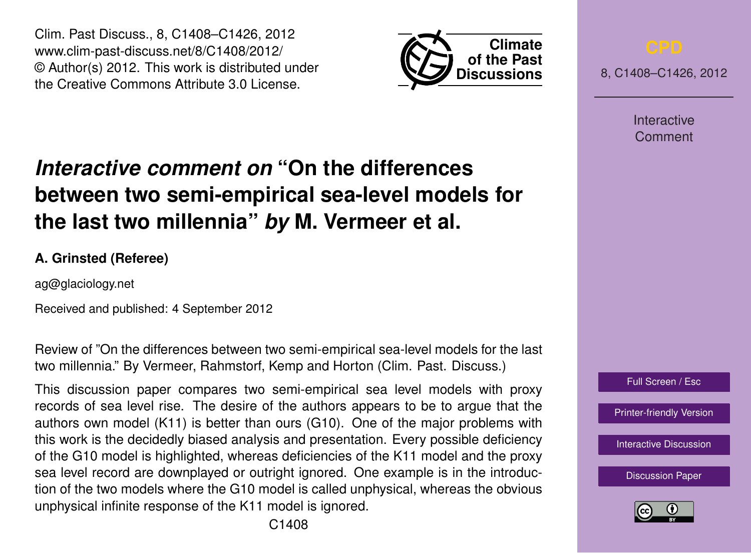Clim. Past Discuss., 8, C1408–C1426, 2012 www.clim-past-discuss.net/8/C1408/2012/ © Author(s) 2012. This work is distributed under the Creative Commons Attribute 3.0 License.



8, C1408–C1426, 2012

Interactive Comment

# *Interactive comment on* **"On the differences between two semi-empirical sea-level models for the last two millennia"** *by* **M. Vermeer et al.**

# **A. Grinsted (Referee)**

ag@glaciology.net

Received and published: 4 September 2012

Review of "On the differences between two semi-empirical sea-level models for the last two millennia." By Vermeer, Rahmstorf, Kemp and Horton (Clim. Past. Discuss.)

This discussion paper compares two semi-empirical sea level models with proxy records of sea level rise. The desire of the authors appears to be to argue that the authors own model (K11) is better than ours (G10). One of the major problems with this work is the decidedly biased analysis and presentation. Every possible deficiency of the G10 model is highlighted, whereas deficiencies of the K11 model and the proxy sea level record are downplayed or outright ignored. One example is in the introduction of the two models where the G10 model is called unphysical, whereas the obvious unphysical infinite response of the K11 model is ignored.

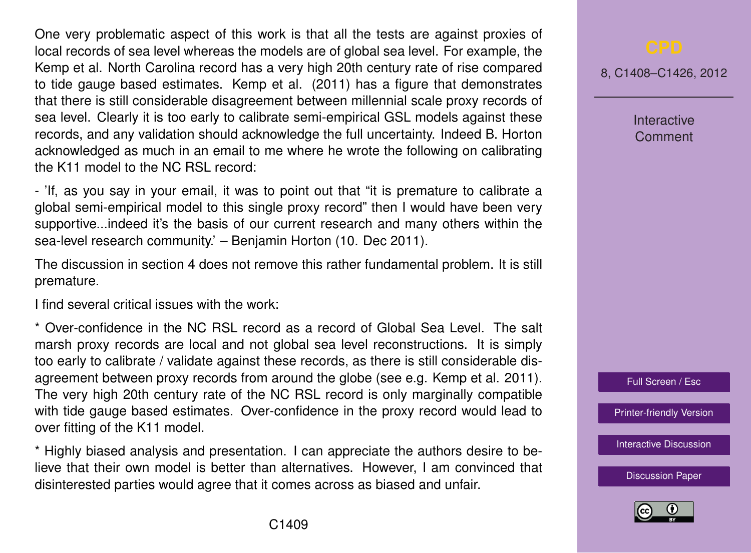One very problematic aspect of this work is that all the tests are against proxies of local records of sea level whereas the models are of global sea level. For example, the Kemp et al. North Carolina record has a very high 20th century rate of rise compared to tide gauge based estimates. Kemp et al. (2011) has a figure that demonstrates that there is still considerable disagreement between millennial scale proxy records of sea level. Clearly it is too early to calibrate semi-empirical GSL models against these records, and any validation should acknowledge the full uncertainty. Indeed B. Horton acknowledged as much in an email to me where he wrote the following on calibrating the K11 model to the NC RSL record:

- 'If, as you say in your email, it was to point out that "it is premature to calibrate a global semi-empirical model to this single proxy record" then I would have been very supportive...indeed it's the basis of our current research and many others within the sea-level research community.' – Benjamin Horton (10. Dec 2011).

The discussion in section 4 does not remove this rather fundamental problem. It is still premature.

I find several critical issues with the work:

\* Over-confidence in the NC RSL record as a record of Global Sea Level. The salt marsh proxy records are local and not global sea level reconstructions. It is simply too early to calibrate / validate against these records, as there is still considerable disagreement between proxy records from around the globe (see e.g. Kemp et al. 2011). The very high 20th century rate of the NC RSL record is only marginally compatible with tide gauge based estimates. Over-confidence in the proxy record would lead to over fitting of the K11 model.

\* Highly biased analysis and presentation. I can appreciate the authors desire to believe that their own model is better than alternatives. However, I am convinced that disinterested parties would agree that it comes across as biased and unfair.

8, C1408–C1426, 2012

Interactive Comment



[Printer-friendly Version](http://www.clim-past-discuss.net/8/C1408/2012/cpd-8-C1408-2012-print.pdf)

[Interactive Discussion](http://www.clim-past-discuss.net/8/3551/2012/cpd-8-3551-2012-discussion.html)

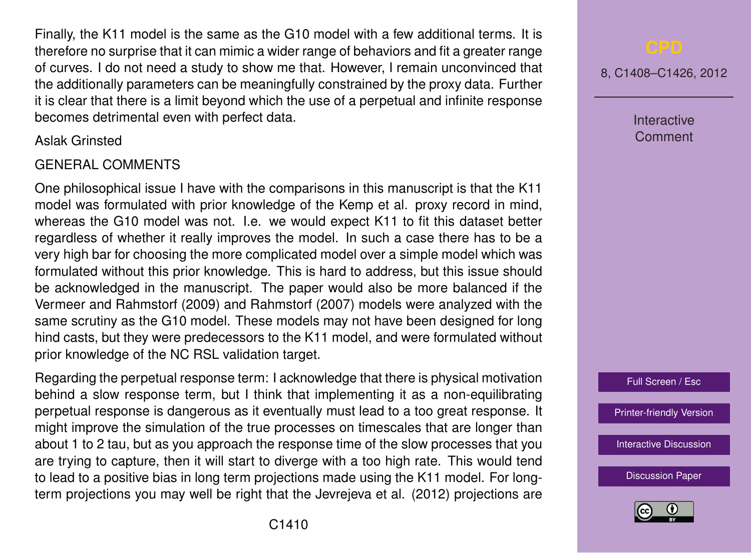Finally, the K11 model is the same as the G10 model with a few additional terms. It is therefore no surprise that it can mimic a wider range of behaviors and fit a greater range of curves. I do not need a study to show me that. However, I remain unconvinced that the additionally parameters can be meaningfully constrained by the proxy data. Further it is clear that there is a limit beyond which the use of a perpetual and infinite response becomes detrimental even with perfect data.

Aslak Grinsted

## GENERAL COMMENTS

One philosophical issue I have with the comparisons in this manuscript is that the K11 model was formulated with prior knowledge of the Kemp et al. proxy record in mind, whereas the G10 model was not. I.e. we would expect K11 to fit this dataset better regardless of whether it really improves the model. In such a case there has to be a very high bar for choosing the more complicated model over a simple model which was formulated without this prior knowledge. This is hard to address, but this issue should be acknowledged in the manuscript. The paper would also be more balanced if the Vermeer and Rahmstorf (2009) and Rahmstorf (2007) models were analyzed with the same scrutiny as the G10 model. These models may not have been designed for long hind casts, but they were predecessors to the K11 model, and were formulated without prior knowledge of the NC RSL validation target.

Regarding the perpetual response term: I acknowledge that there is physical motivation behind a slow response term, but I think that implementing it as a non-equilibrating perpetual response is dangerous as it eventually must lead to a too great response. It might improve the simulation of the true processes on timescales that are longer than about 1 to 2 tau, but as you approach the response time of the slow processes that you are trying to capture, then it will start to diverge with a too high rate. This would tend to lead to a positive bias in long term projections made using the K11 model. For longterm projections you may well be right that the Jevrejeva et al. (2012) projections are 8, C1408–C1426, 2012

Interactive Comment

Full Screen / Esc

[Printer-friendly Version](http://www.clim-past-discuss.net/8/C1408/2012/cpd-8-C1408-2012-print.pdf)

[Interactive Discussion](http://www.clim-past-discuss.net/8/3551/2012/cpd-8-3551-2012-discussion.html)

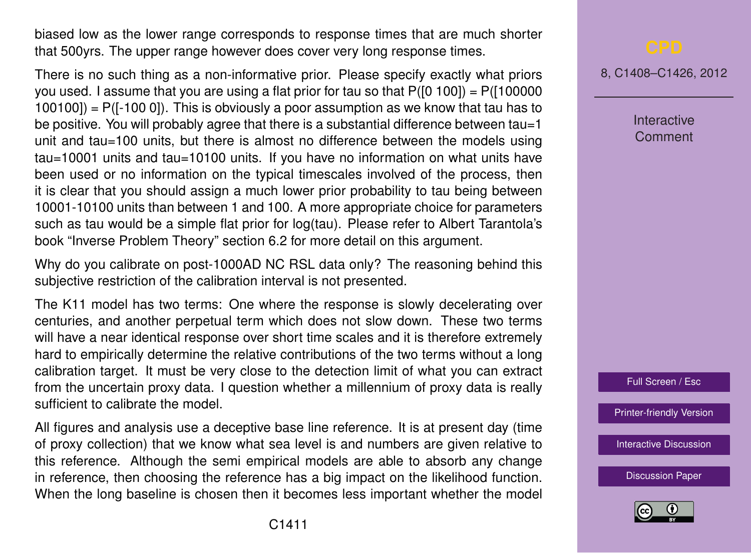biased low as the lower range corresponds to response times that are much shorter that 500yrs. The upper range however does cover very long response times.

There is no such thing as a non-informative prior. Please specify exactly what priors you used. I assume that you are using a flat prior for tau so that  $P([0 100]) = P([100000$  $100100$ ] = P( $[-100 0]$ ). This is obviously a poor assumption as we know that tau has to be positive. You will probably agree that there is a substantial difference between tau=1 unit and tau=100 units, but there is almost no difference between the models using tau=10001 units and tau=10100 units. If you have no information on what units have been used or no information on the typical timescales involved of the process, then it is clear that you should assign a much lower prior probability to tau being between 10001-10100 units than between 1 and 100. A more appropriate choice for parameters such as tau would be a simple flat prior for log(tau). Please refer to Albert Tarantola's book "Inverse Problem Theory" section 6.2 for more detail on this argument.

Why do you calibrate on post-1000AD NC RSL data only? The reasoning behind this subjective restriction of the calibration interval is not presented.

The K11 model has two terms: One where the response is slowly decelerating over centuries, and another perpetual term which does not slow down. These two terms will have a near identical response over short time scales and it is therefore extremely hard to empirically determine the relative contributions of the two terms without a long calibration target. It must be very close to the detection limit of what you can extract from the uncertain proxy data. I question whether a millennium of proxy data is really sufficient to calibrate the model.

All figures and analysis use a deceptive base line reference. It is at present day (time of proxy collection) that we know what sea level is and numbers are given relative to this reference. Although the semi empirical models are able to absorb any change in reference, then choosing the reference has a big impact on the likelihood function. When the long baseline is chosen then it becomes less important whether the model 8, C1408–C1426, 2012

**Interactive Comment** 

Full Screen / Esc

[Printer-friendly Version](http://www.clim-past-discuss.net/8/C1408/2012/cpd-8-C1408-2012-print.pdf)

[Interactive Discussion](http://www.clim-past-discuss.net/8/3551/2012/cpd-8-3551-2012-discussion.html)

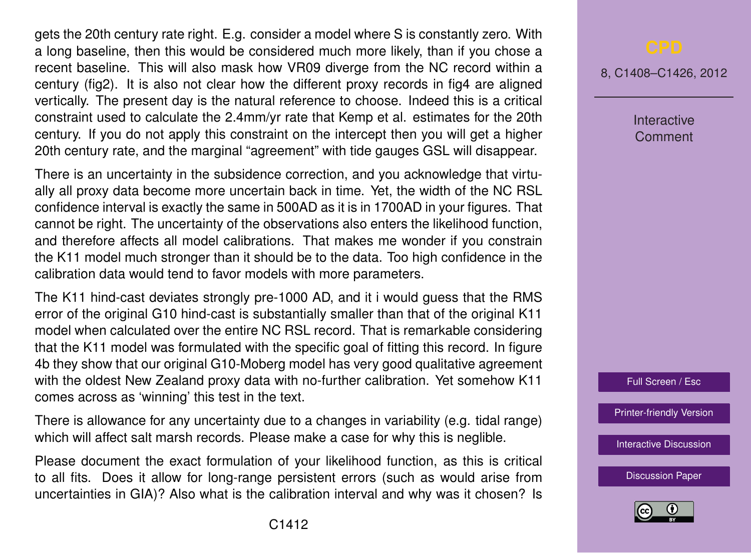gets the 20th century rate right. E.g. consider a model where S is constantly zero. With a long baseline, then this would be considered much more likely, than if you chose a recent baseline. This will also mask how VR09 diverge from the NC record within a century (fig2). It is also not clear how the different proxy records in fig4 are aligned vertically. The present day is the natural reference to choose. Indeed this is a critical constraint used to calculate the 2.4mm/yr rate that Kemp et al. estimates for the 20th century. If you do not apply this constraint on the intercept then you will get a higher 20th century rate, and the marginal "agreement" with tide gauges GSL will disappear.

There is an uncertainty in the subsidence correction, and you acknowledge that virtually all proxy data become more uncertain back in time. Yet, the width of the NC RSL confidence interval is exactly the same in 500AD as it is in 1700AD in your figures. That cannot be right. The uncertainty of the observations also enters the likelihood function, and therefore affects all model calibrations. That makes me wonder if you constrain the K11 model much stronger than it should be to the data. Too high confidence in the calibration data would tend to favor models with more parameters.

The K11 hind-cast deviates strongly pre-1000 AD, and it i would guess that the RMS error of the original G10 hind-cast is substantially smaller than that of the original K11 model when calculated over the entire NC RSL record. That is remarkable considering that the K11 model was formulated with the specific goal of fitting this record. In figure 4b they show that our original G10-Moberg model has very good qualitative agreement with the oldest New Zealand proxy data with no-further calibration. Yet somehow K11 comes across as 'winning' this test in the text.

There is allowance for any uncertainty due to a changes in variability (e.g. tidal range) which will affect salt marsh records. Please make a case for why this is neglible.

Please document the exact formulation of your likelihood function, as this is critical to all fits. Does it allow for long-range persistent errors (such as would arise from uncertainties in GIA)? Also what is the calibration interval and why was it chosen? Is

8, C1408–C1426, 2012

**Interactive** Comment

Full Screen / Esc

[Printer-friendly Version](http://www.clim-past-discuss.net/8/C1408/2012/cpd-8-C1408-2012-print.pdf)

[Interactive Discussion](http://www.clim-past-discuss.net/8/3551/2012/cpd-8-3551-2012-discussion.html)

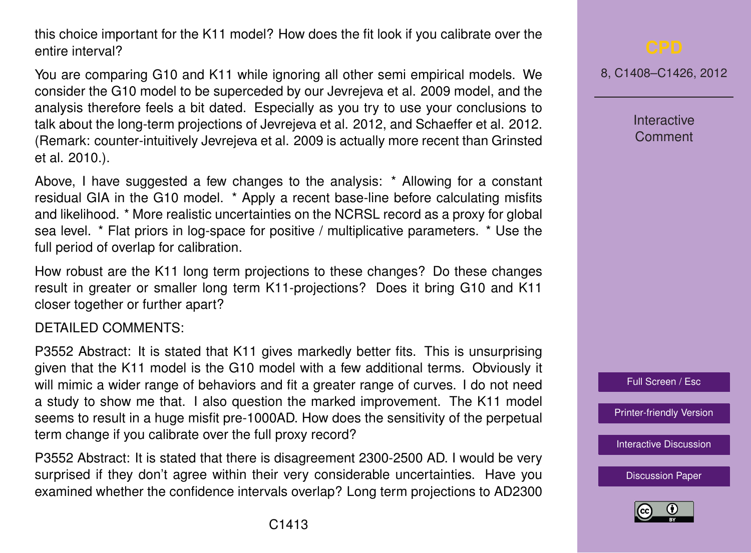this choice important for the K11 model? How does the fit look if you calibrate over the entire interval?

You are comparing G10 and K11 while ignoring all other semi empirical models. We consider the G10 model to be superceded by our Jevrejeva et al. 2009 model, and the analysis therefore feels a bit dated. Especially as you try to use your conclusions to talk about the long-term projections of Jevrejeva et al. 2012, and Schaeffer et al. 2012. (Remark: counter-intuitively Jevrejeva et al. 2009 is actually more recent than Grinsted et al. 2010.).

Above, I have suggested a few changes to the analysis: \* Allowing for a constant residual GIA in the G10 model. \* Apply a recent base-line before calculating misfits and likelihood. \* More realistic uncertainties on the NCRSL record as a proxy for global sea level. \* Flat priors in log-space for positive / multiplicative parameters. \* Use the full period of overlap for calibration.

How robust are the K11 long term projections to these changes? Do these changes result in greater or smaller long term K11-projections? Does it bring G10 and K11 closer together or further apart?

## DETAILED COMMENTS:

P3552 Abstract: It is stated that K11 gives markedly better fits. This is unsurprising given that the K11 model is the G10 model with a few additional terms. Obviously it will mimic a wider range of behaviors and fit a greater range of curves. I do not need a study to show me that. I also question the marked improvement. The K11 model seems to result in a huge misfit pre-1000AD. How does the sensitivity of the perpetual term change if you calibrate over the full proxy record?

P3552 Abstract: It is stated that there is disagreement 2300-2500 AD. I would be very surprised if they don't agree within their very considerable uncertainties. Have you examined whether the confidence intervals overlap? Long term projections to AD2300

8, C1408–C1426, 2012

**Interactive Comment** 



[Printer-friendly Version](http://www.clim-past-discuss.net/8/C1408/2012/cpd-8-C1408-2012-print.pdf)

[Interactive Discussion](http://www.clim-past-discuss.net/8/3551/2012/cpd-8-3551-2012-discussion.html)

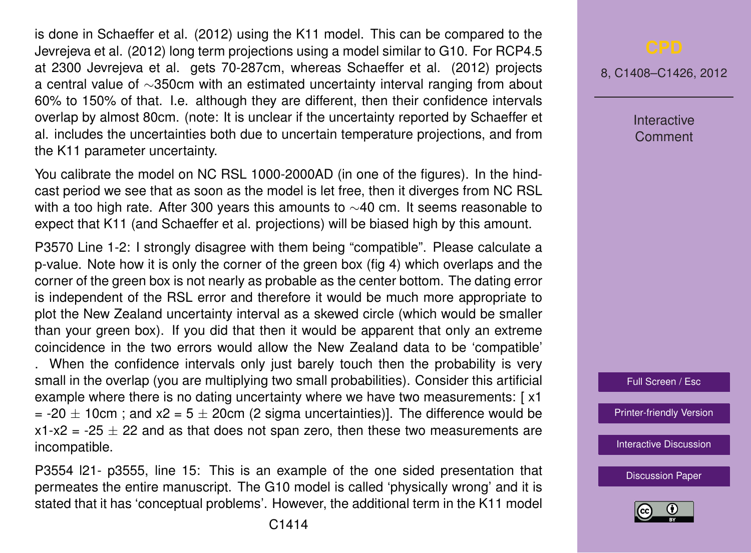is done in Schaeffer et al. (2012) using the K11 model. This can be compared to the Jevrejeva et al. (2012) long term projections using a model similar to G10. For RCP4.5 at 2300 Jevrejeva et al. gets 70-287cm, whereas Schaeffer et al. (2012) projects a central value of ∼350cm with an estimated uncertainty interval ranging from about 60% to 150% of that. I.e. although they are different, then their confidence intervals overlap by almost 80cm. (note: It is unclear if the uncertainty reported by Schaeffer et al. includes the uncertainties both due to uncertain temperature projections, and from the K11 parameter uncertainty.

You calibrate the model on NC RSL 1000-2000AD (in one of the figures). In the hindcast period we see that as soon as the model is let free, then it diverges from NC RSL with a too high rate. After 300 years this amounts to ∼40 cm. It seems reasonable to expect that K11 (and Schaeffer et al. projections) will be biased high by this amount.

P3570 Line 1-2: I strongly disagree with them being "compatible". Please calculate a p-value. Note how it is only the corner of the green box (fig 4) which overlaps and the corner of the green box is not nearly as probable as the center bottom. The dating error is independent of the RSL error and therefore it would be much more appropriate to plot the New Zealand uncertainty interval as a skewed circle (which would be smaller than your green box). If you did that then it would be apparent that only an extreme coincidence in the two errors would allow the New Zealand data to be 'compatible'

. When the confidence intervals only just barely touch then the probability is very small in the overlap (you are multiplying two small probabilities). Consider this artificial example where there is no dating uncertainty where we have two measurements: [ x1 = -20  $\pm$  10cm ; and x2 = 5  $\pm$  20cm (2 sigma uncertainties)]. The difference would be  $x1-x2 = -25 \pm 22$  and as that does not span zero, then these two measurements are incompatible.

P3554 l21- p3555, line 15: This is an example of the one sided presentation that permeates the entire manuscript. The G10 model is called 'physically wrong' and it is stated that it has 'conceptual problems'. However, the additional term in the K11 model

8, C1408–C1426, 2012

Interactive Comment



[Printer-friendly Version](http://www.clim-past-discuss.net/8/C1408/2012/cpd-8-C1408-2012-print.pdf)

[Interactive Discussion](http://www.clim-past-discuss.net/8/3551/2012/cpd-8-3551-2012-discussion.html)

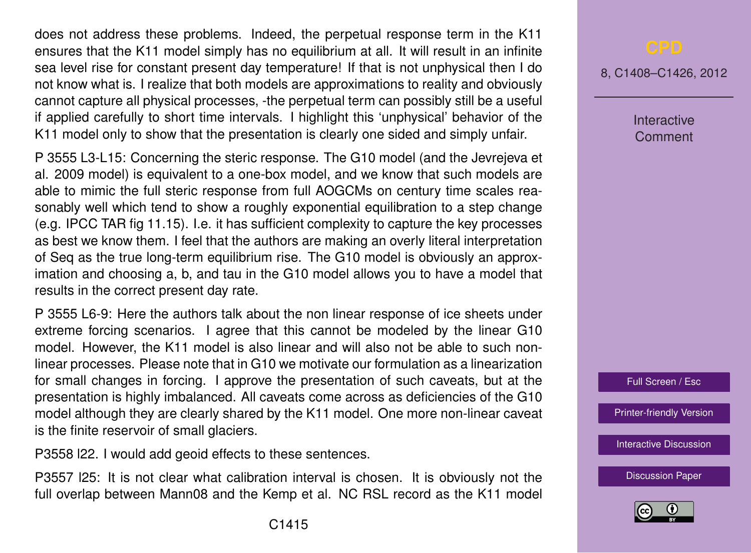does not address these problems. Indeed, the perpetual response term in the K11 ensures that the K11 model simply has no equilibrium at all. It will result in an infinite sea level rise for constant present day temperature! If that is not unphysical then I do not know what is. I realize that both models are approximations to reality and obviously cannot capture all physical processes, -the perpetual term can possibly still be a useful if applied carefully to short time intervals. I highlight this 'unphysical' behavior of the K11 model only to show that the presentation is clearly one sided and simply unfair.

P 3555 L3-L15: Concerning the steric response. The G10 model (and the Jevrejeva et al. 2009 model) is equivalent to a one-box model, and we know that such models are able to mimic the full steric response from full AOGCMs on century time scales reasonably well which tend to show a roughly exponential equilibration to a step change (e.g. IPCC TAR fig 11.15). I.e. it has sufficient complexity to capture the key processes as best we know them. I feel that the authors are making an overly literal interpretation of Seq as the true long-term equilibrium rise. The G10 model is obviously an approximation and choosing a, b, and tau in the G10 model allows you to have a model that results in the correct present day rate.

P 3555 L6-9: Here the authors talk about the non linear response of ice sheets under extreme forcing scenarios. I agree that this cannot be modeled by the linear G10 model. However, the K11 model is also linear and will also not be able to such nonlinear processes. Please note that in G10 we motivate our formulation as a linearization for small changes in forcing. I approve the presentation of such caveats, but at the presentation is highly imbalanced. All caveats come across as deficiencies of the G10 model although they are clearly shared by the K11 model. One more non-linear caveat is the finite reservoir of small glaciers.

P3558 l22. I would add geoid effects to these sentences.

P3557 l25: It is not clear what calibration interval is chosen. It is obviously not the full overlap between Mann08 and the Kemp et al. NC RSL record as the K11 model

8, C1408–C1426, 2012

Interactive Comment



[Printer-friendly Version](http://www.clim-past-discuss.net/8/C1408/2012/cpd-8-C1408-2012-print.pdf)

[Interactive Discussion](http://www.clim-past-discuss.net/8/3551/2012/cpd-8-3551-2012-discussion.html)

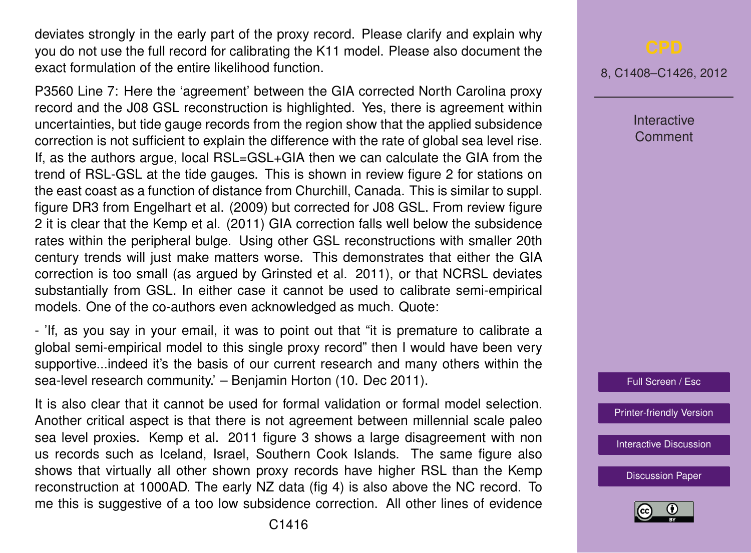deviates strongly in the early part of the proxy record. Please clarify and explain why you do not use the full record for calibrating the K11 model. Please also document the exact formulation of the entire likelihood function.

P3560 Line 7: Here the 'agreement' between the GIA corrected North Carolina proxy record and the J08 GSL reconstruction is highlighted. Yes, there is agreement within uncertainties, but tide gauge records from the region show that the applied subsidence correction is not sufficient to explain the difference with the rate of global sea level rise. If, as the authors argue, local RSL=GSL+GIA then we can calculate the GIA from the trend of RSL-GSL at the tide gauges. This is shown in review figure 2 for stations on the east coast as a function of distance from Churchill, Canada. This is similar to suppl. figure DR3 from Engelhart et al. (2009) but corrected for J08 GSL. From review figure 2 it is clear that the Kemp et al. (2011) GIA correction falls well below the subsidence rates within the peripheral bulge. Using other GSL reconstructions with smaller 20th century trends will just make matters worse. This demonstrates that either the GIA correction is too small (as argued by Grinsted et al. 2011), or that NCRSL deviates substantially from GSL. In either case it cannot be used to calibrate semi-empirical models. One of the co-authors even acknowledged as much. Quote:

- 'If, as you say in your email, it was to point out that "it is premature to calibrate a global semi-empirical model to this single proxy record" then I would have been very supportive...indeed it's the basis of our current research and many others within the sea-level research community.' – Benjamin Horton (10. Dec 2011).

It is also clear that it cannot be used for formal validation or formal model selection. Another critical aspect is that there is not agreement between millennial scale paleo sea level proxies. Kemp et al. 2011 figure 3 shows a large disagreement with non us records such as Iceland, Israel, Southern Cook Islands. The same figure also shows that virtually all other shown proxy records have higher RSL than the Kemp reconstruction at 1000AD. The early NZ data (fig 4) is also above the NC record. To me this is suggestive of a too low subsidence correction. All other lines of evidence 8, C1408–C1426, 2012

**Interactive Comment** 



[Printer-friendly Version](http://www.clim-past-discuss.net/8/C1408/2012/cpd-8-C1408-2012-print.pdf)

[Interactive Discussion](http://www.clim-past-discuss.net/8/3551/2012/cpd-8-3551-2012-discussion.html)

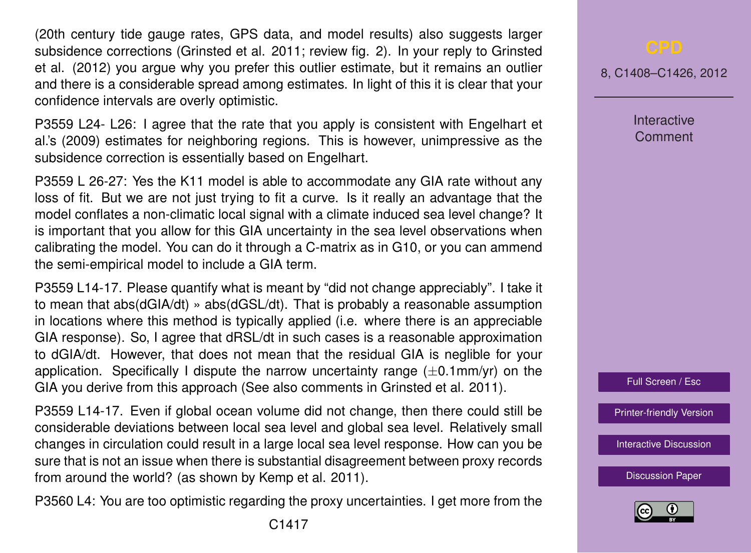(20th century tide gauge rates, GPS data, and model results) also suggests larger subsidence corrections (Grinsted et al. 2011; review fig. 2). In your reply to Grinsted et al. (2012) you argue why you prefer this outlier estimate, but it remains an outlier and there is a considerable spread among estimates. In light of this it is clear that your confidence intervals are overly optimistic.

P3559 L24- L26: I agree that the rate that you apply is consistent with Engelhart et al.'s (2009) estimates for neighboring regions. This is however, unimpressive as the subsidence correction is essentially based on Engelhart.

P3559 L 26-27: Yes the K11 model is able to accommodate any GIA rate without any loss of fit. But we are not just trying to fit a curve. Is it really an advantage that the model conflates a non-climatic local signal with a climate induced sea level change? It is important that you allow for this GIA uncertainty in the sea level observations when calibrating the model. You can do it through a C-matrix as in G10, or you can ammend the semi-empirical model to include a GIA term.

P3559 L14-17. Please quantify what is meant by "did not change appreciably". I take it to mean that abs(dGIA/dt) » abs(dGSL/dt). That is probably a reasonable assumption in locations where this method is typically applied (i.e. where there is an appreciable GIA response). So, I agree that dRSL/dt in such cases is a reasonable approximation to dGIA/dt. However, that does not mean that the residual GIA is neglible for your application. Specifically I dispute the narrow uncertainty range  $(\pm 0.1$ mm/yr) on the GIA you derive from this approach (See also comments in Grinsted et al. 2011).

P3559 L14-17. Even if global ocean volume did not change, then there could still be considerable deviations between local sea level and global sea level. Relatively small changes in circulation could result in a large local sea level response. How can you be sure that is not an issue when there is substantial disagreement between proxy records from around the world? (as shown by Kemp et al. 2011).

P3560 L4: You are too optimistic regarding the proxy uncertainties. I get more from the

8, C1408–C1426, 2012

**Interactive Comment** 



[Printer-friendly Version](http://www.clim-past-discuss.net/8/C1408/2012/cpd-8-C1408-2012-print.pdf)

[Interactive Discussion](http://www.clim-past-discuss.net/8/3551/2012/cpd-8-3551-2012-discussion.html)

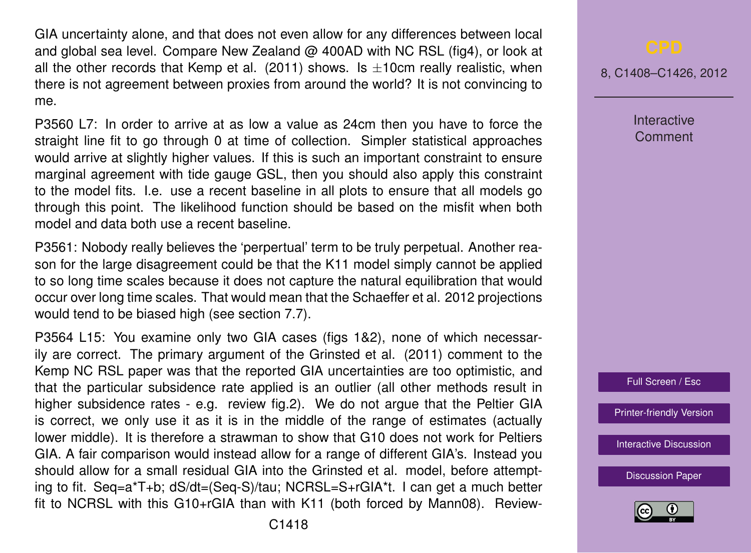GIA uncertainty alone, and that does not even allow for any differences between local and global sea level. Compare New Zealand  $\omega$  400AD with NC RSL (fig4), or look at all the other records that Kemp et al. (2011) shows. Is  $\pm$ 10cm really realistic, when there is not agreement between proxies from around the world? It is not convincing to me.

P3560 L7: In order to arrive at as low a value as 24cm then you have to force the straight line fit to go through 0 at time of collection. Simpler statistical approaches would arrive at slightly higher values. If this is such an important constraint to ensure marginal agreement with tide gauge GSL, then you should also apply this constraint to the model fits. I.e. use a recent baseline in all plots to ensure that all models go through this point. The likelihood function should be based on the misfit when both model and data both use a recent baseline.

P3561: Nobody really believes the 'perpertual' term to be truly perpetual. Another reason for the large disagreement could be that the K11 model simply cannot be applied to so long time scales because it does not capture the natural equilibration that would occur over long time scales. That would mean that the Schaeffer et al. 2012 projections would tend to be biased high (see section 7.7).

P3564 L15: You examine only two GIA cases (figs 1&2), none of which necessarily are correct. The primary argument of the Grinsted et al. (2011) comment to the Kemp NC RSL paper was that the reported GIA uncertainties are too optimistic, and that the particular subsidence rate applied is an outlier (all other methods result in higher subsidence rates - e.g. review fig.2). We do not argue that the Peltier GIA is correct, we only use it as it is in the middle of the range of estimates (actually lower middle). It is therefore a strawman to show that G10 does not work for Peltiers GIA. A fair comparison would instead allow for a range of different GIA's. Instead you should allow for a small residual GIA into the Grinsted et al. model, before attempting to fit. Seq=a\*T+b; dS/dt=(Seq-S)/tau; NCRSL=S+rGIA\*t. I can get a much better fit to NCRSL with this G10+rGIA than with K11 (both forced by Mann08). Review8, C1408–C1426, 2012

**Interactive Comment** 



[Printer-friendly Version](http://www.clim-past-discuss.net/8/C1408/2012/cpd-8-C1408-2012-print.pdf)

[Interactive Discussion](http://www.clim-past-discuss.net/8/3551/2012/cpd-8-3551-2012-discussion.html)

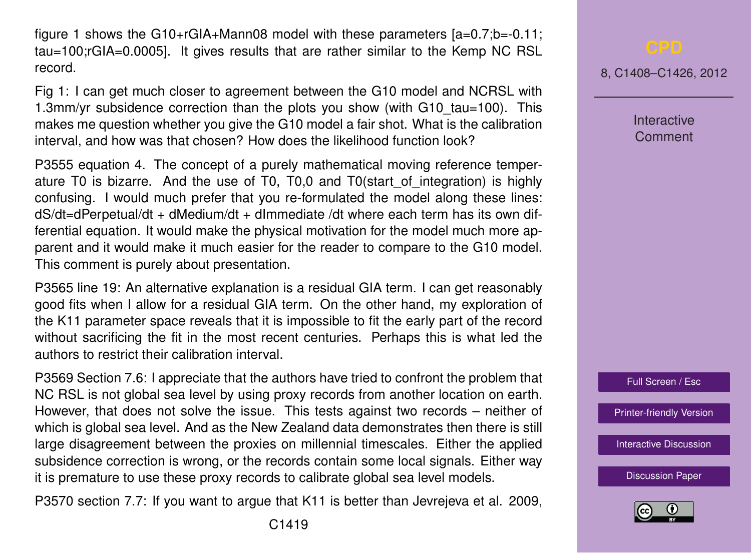figure 1 shows the G10+rGIA+Mann08 model with these parameters [a=0.7;b=-0.11; tau=100;rGIA=0.0005]. It gives results that are rather similar to the Kemp NC RSL record.

Fig 1: I can get much closer to agreement between the G10 model and NCRSL with 1.3mm/yr subsidence correction than the plots you show (with G10\_tau=100). This makes me question whether you give the G10 model a fair shot. What is the calibration interval, and how was that chosen? How does the likelihood function look?

P3555 equation 4. The concept of a purely mathematical moving reference temperature T0 is bizarre. And the use of T0, T0,0 and T0(start\_of\_integration) is highly confusing. I would much prefer that you re-formulated the model along these lines: dS/dt=dPerpetual/dt + dMedium/dt + dImmediate /dt where each term has its own differential equation. It would make the physical motivation for the model much more apparent and it would make it much easier for the reader to compare to the G10 model. This comment is purely about presentation.

P3565 line 19: An alternative explanation is a residual GIA term. I can get reasonably good fits when I allow for a residual GIA term. On the other hand, my exploration of the K11 parameter space reveals that it is impossible to fit the early part of the record without sacrificing the fit in the most recent centuries. Perhaps this is what led the authors to restrict their calibration interval.

P3569 Section 7.6: I appreciate that the authors have tried to confront the problem that NC RSL is not global sea level by using proxy records from another location on earth. However, that does not solve the issue. This tests against two records – neither of which is global sea level. And as the New Zealand data demonstrates then there is still large disagreement between the proxies on millennial timescales. Either the applied subsidence correction is wrong, or the records contain some local signals. Either way it is premature to use these proxy records to calibrate global sea level models.

P3570 section 7.7: If you want to argue that K11 is better than Jevrejeva et al. 2009,

8, C1408–C1426, 2012

**Interactive** Comment



[Printer-friendly Version](http://www.clim-past-discuss.net/8/C1408/2012/cpd-8-C1408-2012-print.pdf)

[Interactive Discussion](http://www.clim-past-discuss.net/8/3551/2012/cpd-8-3551-2012-discussion.html)

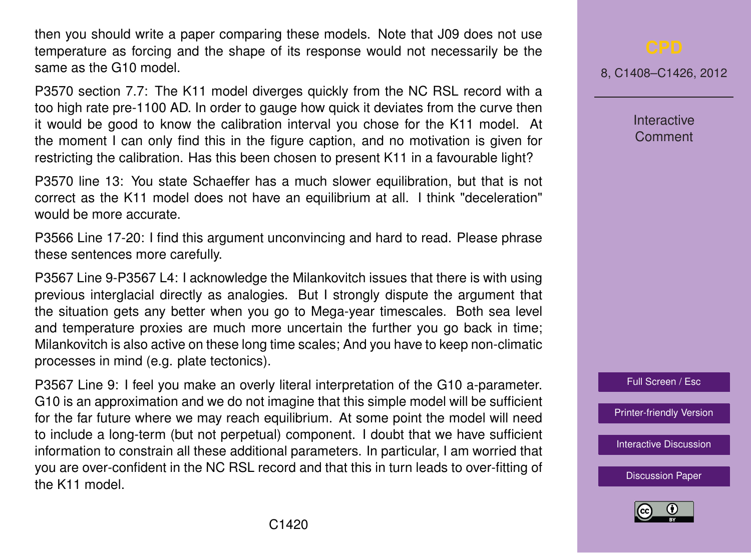then you should write a paper comparing these models. Note that J09 does not use temperature as forcing and the shape of its response would not necessarily be the same as the G10 model.

P3570 section 7.7: The K11 model diverges quickly from the NC RSL record with a too high rate pre-1100 AD. In order to gauge how quick it deviates from the curve then it would be good to know the calibration interval you chose for the K11 model. At the moment I can only find this in the figure caption, and no motivation is given for restricting the calibration. Has this been chosen to present K11 in a favourable light?

P3570 line 13: You state Schaeffer has a much slower equilibration, but that is not correct as the K11 model does not have an equilibrium at all. I think "deceleration" would be more accurate.

P3566 Line 17-20: I find this argument unconvincing and hard to read. Please phrase these sentences more carefully.

P3567 Line 9-P3567 L4: I acknowledge the Milankovitch issues that there is with using previous interglacial directly as analogies. But I strongly dispute the argument that the situation gets any better when you go to Mega-year timescales. Both sea level and temperature proxies are much more uncertain the further you go back in time; Milankovitch is also active on these long time scales; And you have to keep non-climatic processes in mind (e.g. plate tectonics).

P3567 Line 9: I feel you make an overly literal interpretation of the G10 a-parameter. G10 is an approximation and we do not imagine that this simple model will be sufficient for the far future where we may reach equilibrium. At some point the model will need to include a long-term (but not perpetual) component. I doubt that we have sufficient information to constrain all these additional parameters. In particular, I am worried that you are over-confident in the NC RSL record and that this in turn leads to over-fitting of the K11 model.

8, C1408–C1426, 2012

Interactive **Comment** 



[Printer-friendly Version](http://www.clim-past-discuss.net/8/C1408/2012/cpd-8-C1408-2012-print.pdf)

[Interactive Discussion](http://www.clim-past-discuss.net/8/3551/2012/cpd-8-3551-2012-discussion.html)

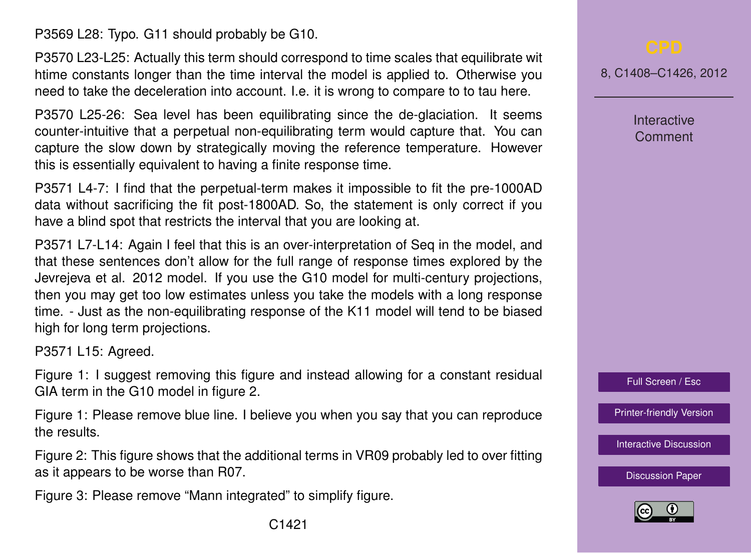P3569 L28: Typo. G11 should probably be G10.

P3570 L23-L25: Actually this term should correspond to time scales that equilibrate wit htime constants longer than the time interval the model is applied to. Otherwise you need to take the deceleration into account. I.e. it is wrong to compare to to tau here.

P3570 L25-26: Sea level has been equilibrating since the de-glaciation. It seems counter-intuitive that a perpetual non-equilibrating term would capture that. You can capture the slow down by strategically moving the reference temperature. However this is essentially equivalent to having a finite response time.

P3571 L4-7: I find that the perpetual-term makes it impossible to fit the pre-1000AD data without sacrificing the fit post-1800AD. So, the statement is only correct if you have a blind spot that restricts the interval that you are looking at.

P3571 L7-L14: Again I feel that this is an over-interpretation of Seq in the model, and that these sentences don't allow for the full range of response times explored by the Jevrejeva et al. 2012 model. If you use the G10 model for multi-century projections, then you may get too low estimates unless you take the models with a long response time. - Just as the non-equilibrating response of the K11 model will tend to be biased high for long term projections.

P3571 L15: Agreed.

Figure 1: I suggest removing this figure and instead allowing for a constant residual GIA term in the G10 model in figure 2.

Figure 1: Please remove blue line. I believe you when you say that you can reproduce the results.

Figure 2: This figure shows that the additional terms in VR09 probably led to over fitting as it appears to be worse than R07.

Figure 3: Please remove "Mann integrated" to simplify figure.

8, C1408–C1426, 2012

Interactive Comment

Full Screen / Esc

[Printer-friendly Version](http://www.clim-past-discuss.net/8/C1408/2012/cpd-8-C1408-2012-print.pdf)

[Interactive Discussion](http://www.clim-past-discuss.net/8/3551/2012/cpd-8-3551-2012-discussion.html)

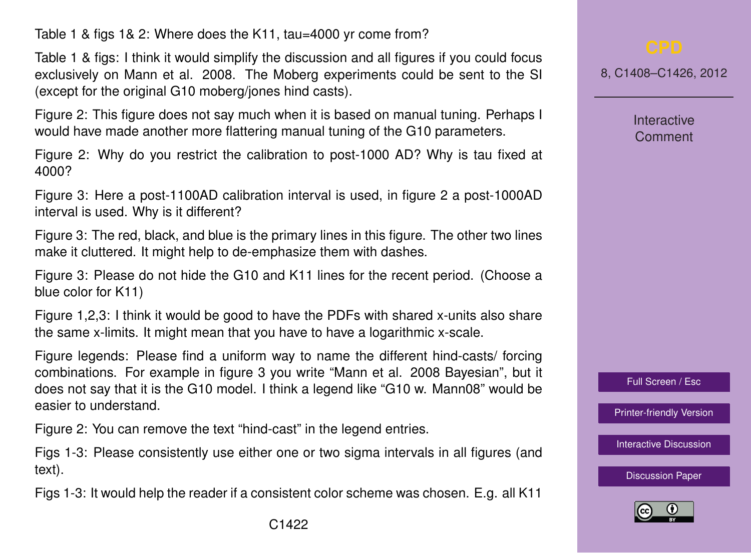Table 1 & figs 1& 2: Where does the K11, tau=4000 yr come from?

Table 1 & figs: I think it would simplify the discussion and all figures if you could focus exclusively on Mann et al. 2008. The Moberg experiments could be sent to the SI (except for the original G10 moberg/jones hind casts).

Figure 2: This figure does not say much when it is based on manual tuning. Perhaps I would have made another more flattering manual tuning of the G10 parameters.

Figure 2: Why do you restrict the calibration to post-1000 AD? Why is tau fixed at 4000?

Figure 3: Here a post-1100AD calibration interval is used, in figure 2 a post-1000AD interval is used. Why is it different?

Figure 3: The red, black, and blue is the primary lines in this figure. The other two lines make it cluttered. It might help to de-emphasize them with dashes.

Figure 3: Please do not hide the G10 and K11 lines for the recent period. (Choose a blue color for K11)

Figure 1,2,3: I think it would be good to have the PDFs with shared x-units also share the same x-limits. It might mean that you have to have a logarithmic x-scale.

Figure legends: Please find a uniform way to name the different hind-casts/ forcing combinations. For example in figure 3 you write "Mann et al. 2008 Bayesian", but it does not say that it is the G10 model. I think a legend like "G10 w. Mann08" would be easier to understand.

Figure 2: You can remove the text "hind-cast" in the legend entries.

Figs 1-3: Please consistently use either one or two sigma intervals in all figures (and text).

Figs 1-3: It would help the reader if a consistent color scheme was chosen. E.g. all K11

8, C1408–C1426, 2012

**Interactive** Comment

Full Screen / Esc

[Printer-friendly Version](http://www.clim-past-discuss.net/8/C1408/2012/cpd-8-C1408-2012-print.pdf)

[Interactive Discussion](http://www.clim-past-discuss.net/8/3551/2012/cpd-8-3551-2012-discussion.html)

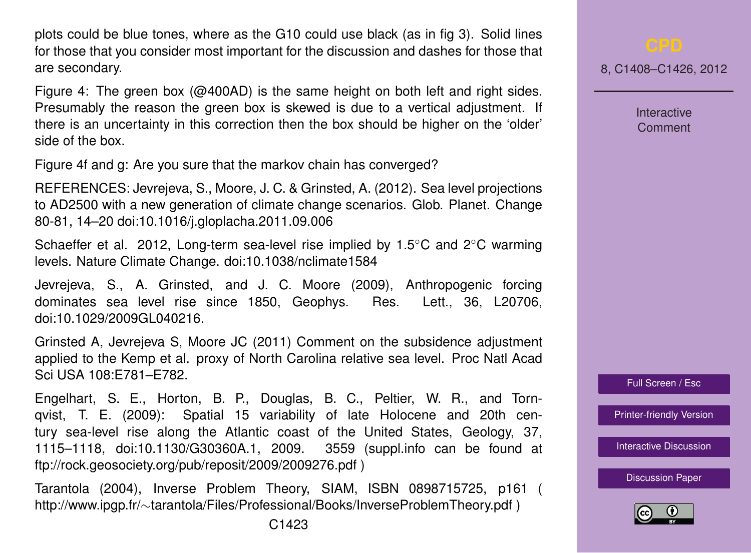plots could be blue tones, where as the G10 could use black (as in fig 3). Solid lines for those that you consider most important for the discussion and dashes for those that are secondary.

Figure 4: The green box ( $@400AD$ ) is the same height on both left and right sides. Presumably the reason the green box is skewed is due to a vertical adjustment. If there is an uncertainty in this correction then the box should be higher on the 'older' side of the box.

Figure 4f and g: Are you sure that the markov chain has converged?

REFERENCES: Jevrejeva, S., Moore, J. C. & Grinsted, A. (2012). Sea level projections to AD2500 with a new generation of climate change scenarios. Glob. Planet. Change 80-81, 14–20 doi:10.1016/j.gloplacha.2011.09.006

Schaeffer et al. 2012, Long-term sea-level rise implied by 1.5◦C and 2◦C warming levels. Nature Climate Change. doi:10.1038/nclimate1584

Jevrejeva, S., A. Grinsted, and J. C. Moore (2009), Anthropogenic forcing dominates sea level rise since 1850, Geophys. Res. Lett., 36, L20706, doi:10.1029/2009GL040216.

Grinsted A, Jevrejeva S, Moore JC (2011) Comment on the subsidence adjustment applied to the Kemp et al. proxy of North Carolina relative sea level. Proc Natl Acad Sci USA 108:E781–E782.

Engelhart, S. E., Horton, B. P., Douglas, B. C., Peltier, W. R., and Tornqvist, T. E. (2009): Spatial 15 variability of late Holocene and 20th century sea-level rise along the Atlantic coast of the United States, Geology, 37, 1115–1118, doi:10.1130/G30360A.1, 2009. 3559 (suppl.info can be found at ftp://rock.geosociety.org/pub/reposit/2009/2009276.pdf )

Tarantola (2004), Inverse Problem Theory, SIAM, ISBN 0898715725, p161 ( http://www.ipgp.fr/∼tarantola/Files/Professional/Books/InverseProblemTheory.pdf )

Interactive Comment

Full Screen / Esc

[Printer-friendly Version](http://www.clim-past-discuss.net/8/C1408/2012/cpd-8-C1408-2012-print.pdf)

[Interactive Discussion](http://www.clim-past-discuss.net/8/3551/2012/cpd-8-3551-2012-discussion.html)

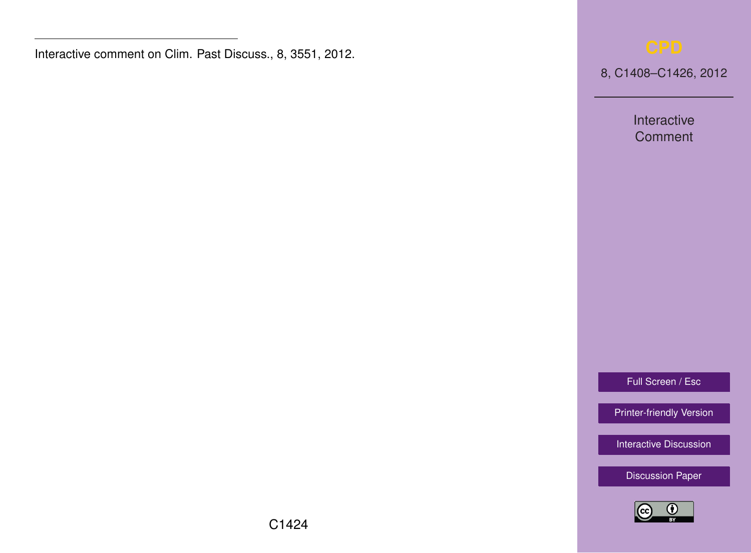Interactive comment on Clim. Past Discuss., 8, 3551, 2012.

8, C1408–C1426, 2012

Interactive **Comment** 

Full Screen / Esc

[Printer-friendly Version](http://www.clim-past-discuss.net/8/C1408/2012/cpd-8-C1408-2012-print.pdf)

[Interactive Discussion](http://www.clim-past-discuss.net/8/3551/2012/cpd-8-3551-2012-discussion.html)

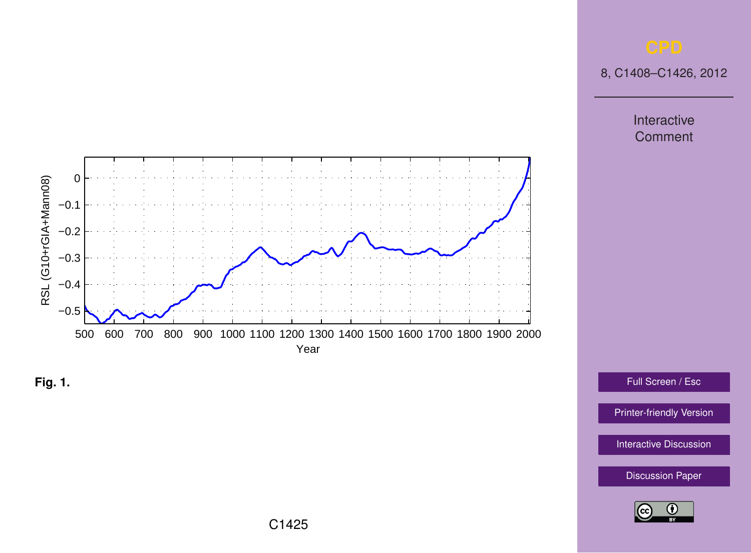8, C1408–C1426, 2012

Interactive **Comment** 





Full Screen / Esc

[Printer-friendly Version](http://www.clim-past-discuss.net/8/C1408/2012/cpd-8-C1408-2012-print.pdf)

[Interactive Discussion](http://www.clim-past-discuss.net/8/3551/2012/cpd-8-3551-2012-discussion.html)